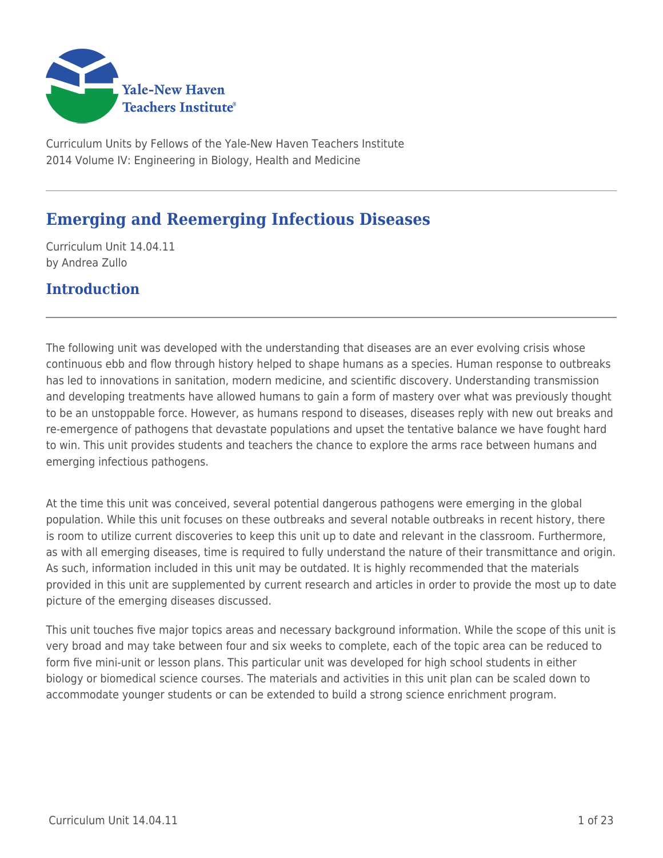

Curriculum Units by Fellows of the Yale-New Haven Teachers Institute 2014 Volume IV: Engineering in Biology, Health and Medicine

# **Emerging and Reemerging Infectious Diseases**

Curriculum Unit 14.04.11 by Andrea Zullo

### **Introduction**

The following unit was developed with the understanding that diseases are an ever evolving crisis whose continuous ebb and flow through history helped to shape humans as a species. Human response to outbreaks has led to innovations in sanitation, modern medicine, and scientific discovery. Understanding transmission and developing treatments have allowed humans to gain a form of mastery over what was previously thought to be an unstoppable force. However, as humans respond to diseases, diseases reply with new out breaks and re-emergence of pathogens that devastate populations and upset the tentative balance we have fought hard to win. This unit provides students and teachers the chance to explore the arms race between humans and emerging infectious pathogens.

At the time this unit was conceived, several potential dangerous pathogens were emerging in the global population. While this unit focuses on these outbreaks and several notable outbreaks in recent history, there is room to utilize current discoveries to keep this unit up to date and relevant in the classroom. Furthermore, as with all emerging diseases, time is required to fully understand the nature of their transmittance and origin. As such, information included in this unit may be outdated. It is highly recommended that the materials provided in this unit are supplemented by current research and articles in order to provide the most up to date picture of the emerging diseases discussed.

This unit touches five major topics areas and necessary background information. While the scope of this unit is very broad and may take between four and six weeks to complete, each of the topic area can be reduced to form five mini-unit or lesson plans. This particular unit was developed for high school students in either biology or biomedical science courses. The materials and activities in this unit plan can be scaled down to accommodate younger students or can be extended to build a strong science enrichment program.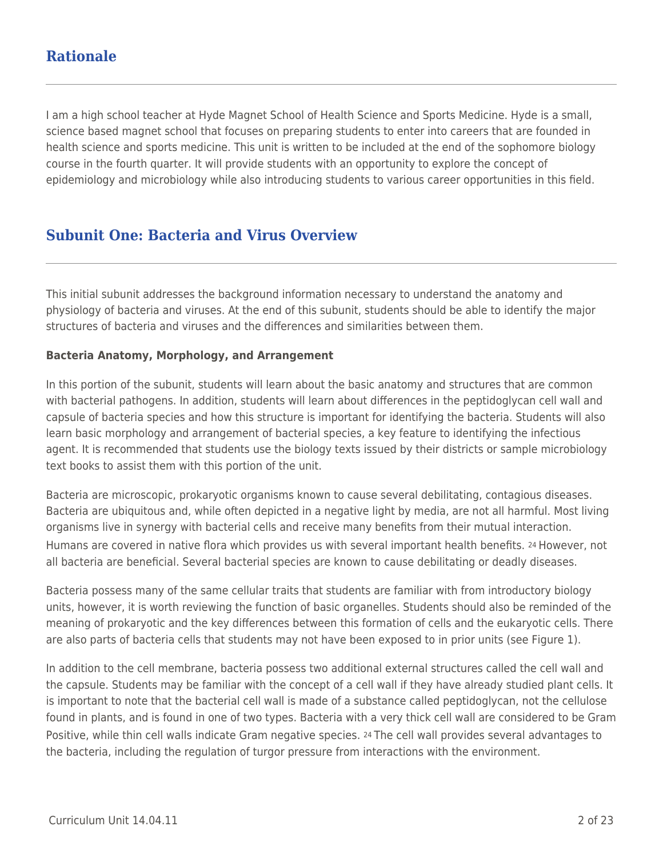### **Rationale**

I am a high school teacher at Hyde Magnet School of Health Science and Sports Medicine. Hyde is a small, science based magnet school that focuses on preparing students to enter into careers that are founded in health science and sports medicine. This unit is written to be included at the end of the sophomore biology course in the fourth quarter. It will provide students with an opportunity to explore the concept of epidemiology and microbiology while also introducing students to various career opportunities in this field.

## **Subunit One: Bacteria and Virus Overview**

This initial subunit addresses the background information necessary to understand the anatomy and physiology of bacteria and viruses. At the end of this subunit, students should be able to identify the major structures of bacteria and viruses and the differences and similarities between them.

#### **Bacteria Anatomy, Morphology, and Arrangement**

In this portion of the subunit, students will learn about the basic anatomy and structures that are common with bacterial pathogens. In addition, students will learn about differences in the peptidoglycan cell wall and capsule of bacteria species and how this structure is important for identifying the bacteria. Students will also learn basic morphology and arrangement of bacterial species, a key feature to identifying the infectious agent. It is recommended that students use the biology texts issued by their districts or sample microbiology text books to assist them with this portion of the unit.

Bacteria are microscopic, prokaryotic organisms known to cause several debilitating, contagious diseases. Bacteria are ubiquitous and, while often depicted in a negative light by media, are not all harmful. Most living organisms live in synergy with bacterial cells and receive many benefits from their mutual interaction. Humans are covered in native flora which provides us with several important health benefits. 24 However, not all bacteria are beneficial. Several bacterial species are known to cause debilitating or deadly diseases.

Bacteria possess many of the same cellular traits that students are familiar with from introductory biology units, however, it is worth reviewing the function of basic organelles. Students should also be reminded of the meaning of prokaryotic and the key differences between this formation of cells and the eukaryotic cells. There are also parts of bacteria cells that students may not have been exposed to in prior units (see Figure 1).

In addition to the cell membrane, bacteria possess two additional external structures called the cell wall and the capsule. Students may be familiar with the concept of a cell wall if they have already studied plant cells. It is important to note that the bacterial cell wall is made of a substance called peptidoglycan, not the cellulose found in plants, and is found in one of two types. Bacteria with a very thick cell wall are considered to be Gram Positive, while thin cell walls indicate Gram negative species. 24 The cell wall provides several advantages to the bacteria, including the regulation of turgor pressure from interactions with the environment.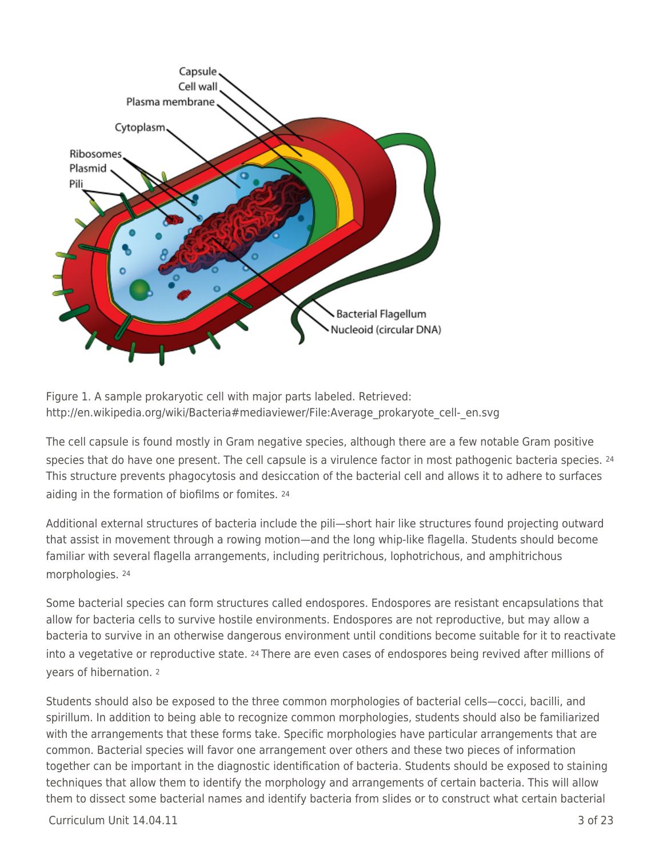

Figure 1. A sample prokaryotic cell with major parts labeled. Retrieved: http://en.wikipedia.org/wiki/Bacteria#mediaviewer/File:Average\_prokaryote\_cell-\_en.svg

The cell capsule is found mostly in Gram negative species, although there are a few notable Gram positive species that do have one present. The cell capsule is a virulence factor in most pathogenic bacteria species. 24 This structure prevents phagocytosis and desiccation of the bacterial cell and allows it to adhere to surfaces aiding in the formation of biofilms or fomites. <sup>24</sup>

Additional external structures of bacteria include the pili—short hair like structures found projecting outward that assist in movement through a rowing motion—and the long whip-like flagella. Students should become familiar with several flagella arrangements, including peritrichous, lophotrichous, and amphitrichous morphologies. <sup>24</sup>

Some bacterial species can form structures called endospores. Endospores are resistant encapsulations that allow for bacteria cells to survive hostile environments. Endospores are not reproductive, but may allow a bacteria to survive in an otherwise dangerous environment until conditions become suitable for it to reactivate into a vegetative or reproductive state. 24 There are even cases of endospores being revived after millions of years of hibernation. <sup>2</sup>

Students should also be exposed to the three common morphologies of bacterial cells—cocci, bacilli, and spirillum. In addition to being able to recognize common morphologies, students should also be familiarized with the arrangements that these forms take. Specific morphologies have particular arrangements that are common. Bacterial species will favor one arrangement over others and these two pieces of information together can be important in the diagnostic identification of bacteria. Students should be exposed to staining techniques that allow them to identify the morphology and arrangements of certain bacteria. This will allow them to dissect some bacterial names and identify bacteria from slides or to construct what certain bacterial

 $C$ urriculum Unit  $14.04.11$   $3$  of 23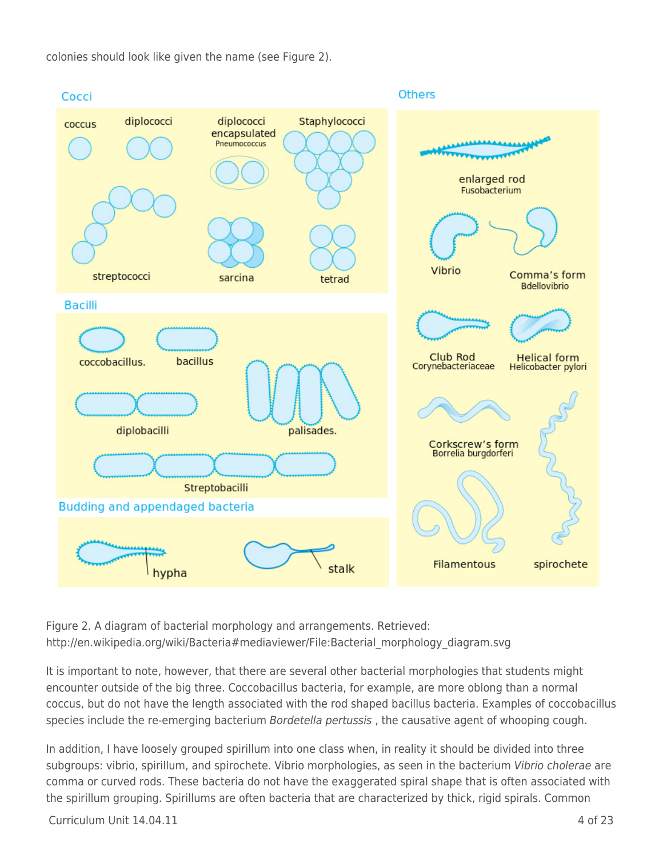colonies should look like given the name (see Figure 2).



Figure 2. A diagram of bacterial morphology and arrangements. Retrieved: http://en.wikipedia.org/wiki/Bacteria#mediaviewer/File:Bacterial\_morphology\_diagram.svg

It is important to note, however, that there are several other bacterial morphologies that students might encounter outside of the big three. Coccobacillus bacteria, for example, are more oblong than a normal coccus, but do not have the length associated with the rod shaped bacillus bacteria. Examples of coccobacillus species include the re-emerging bacterium Bordetella pertussis, the causative agent of whooping cough.

In addition, I have loosely grouped spirillum into one class when, in reality it should be divided into three subgroups: vibrio, spirillum, and spirochete. Vibrio morphologies, as seen in the bacterium Vibrio cholerae are comma or curved rods. These bacteria do not have the exaggerated spiral shape that is often associated with the spirillum grouping. Spirillums are often bacteria that are characterized by thick, rigid spirals. Common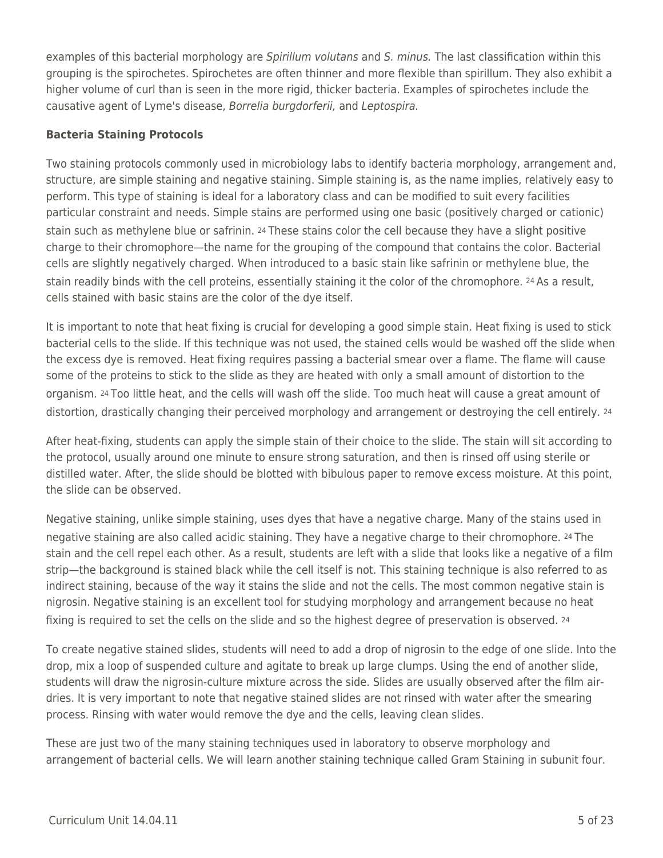examples of this bacterial morphology are Spirillum volutans and S. minus. The last classification within this grouping is the spirochetes. Spirochetes are often thinner and more flexible than spirillum. They also exhibit a higher volume of curl than is seen in the more rigid, thicker bacteria. Examples of spirochetes include the causative agent of Lyme's disease, Borrelia burgdorferii, and Leptospira.

#### **Bacteria Staining Protocols**

Two staining protocols commonly used in microbiology labs to identify bacteria morphology, arrangement and, structure, are simple staining and negative staining. Simple staining is, as the name implies, relatively easy to perform. This type of staining is ideal for a laboratory class and can be modified to suit every facilities particular constraint and needs. Simple stains are performed using one basic (positively charged or cationic) stain such as methylene blue or safrinin. 24 These stains color the cell because they have a slight positive charge to their chromophore—the name for the grouping of the compound that contains the color. Bacterial cells are slightly negatively charged. When introduced to a basic stain like safrinin or methylene blue, the stain readily binds with the cell proteins, essentially staining it the color of the chromophore. 24 As a result, cells stained with basic stains are the color of the dye itself.

It is important to note that heat fixing is crucial for developing a good simple stain. Heat fixing is used to stick bacterial cells to the slide. If this technique was not used, the stained cells would be washed off the slide when the excess dye is removed. Heat fixing requires passing a bacterial smear over a flame. The flame will cause some of the proteins to stick to the slide as they are heated with only a small amount of distortion to the organism. 24 Too little heat, and the cells will wash off the slide. Too much heat will cause a great amount of distortion, drastically changing their perceived morphology and arrangement or destroying the cell entirely. 24

After heat-fixing, students can apply the simple stain of their choice to the slide. The stain will sit according to the protocol, usually around one minute to ensure strong saturation, and then is rinsed off using sterile or distilled water. After, the slide should be blotted with bibulous paper to remove excess moisture. At this point, the slide can be observed.

Negative staining, unlike simple staining, uses dyes that have a negative charge. Many of the stains used in negative staining are also called acidic staining. They have a negative charge to their chromophore. 24 The stain and the cell repel each other. As a result, students are left with a slide that looks like a negative of a film strip—the background is stained black while the cell itself is not. This staining technique is also referred to as indirect staining, because of the way it stains the slide and not the cells. The most common negative stain is nigrosin. Negative staining is an excellent tool for studying morphology and arrangement because no heat fixing is required to set the cells on the slide and so the highest degree of preservation is observed. 24

To create negative stained slides, students will need to add a drop of nigrosin to the edge of one slide. Into the drop, mix a loop of suspended culture and agitate to break up large clumps. Using the end of another slide, students will draw the nigrosin-culture mixture across the side. Slides are usually observed after the film airdries. It is very important to note that negative stained slides are not rinsed with water after the smearing process. Rinsing with water would remove the dye and the cells, leaving clean slides.

These are just two of the many staining techniques used in laboratory to observe morphology and arrangement of bacterial cells. We will learn another staining technique called Gram Staining in subunit four.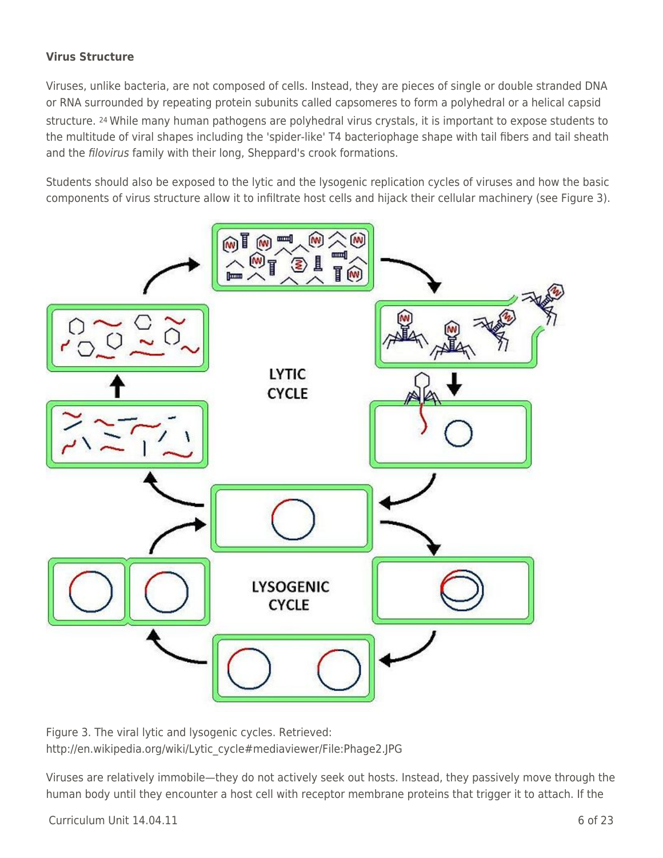### **Virus Structure**

Viruses, unlike bacteria, are not composed of cells. Instead, they are pieces of single or double stranded DNA or RNA surrounded by repeating protein subunits called capsomeres to form a polyhedral or a helical capsid structure. 24 While many human pathogens are polyhedral virus crystals, it is important to expose students to the multitude of viral shapes including the 'spider-like' T4 bacteriophage shape with tail fibers and tail sheath and the filovirus family with their long, Sheppard's crook formations.

Students should also be exposed to the lytic and the lysogenic replication cycles of viruses and how the basic components of virus structure allow it to infiltrate host cells and hijack their cellular machinery (see Figure 3).



Figure 3. The viral lytic and lysogenic cycles. Retrieved: http://en.wikipedia.org/wiki/Lytic\_cycle#mediaviewer/File:Phage2.JPG

Viruses are relatively immobile—they do not actively seek out hosts. Instead, they passively move through the human body until they encounter a host cell with receptor membrane proteins that trigger it to attach. If the

 $Curir$  Unit  $14.04.11$  6 of 23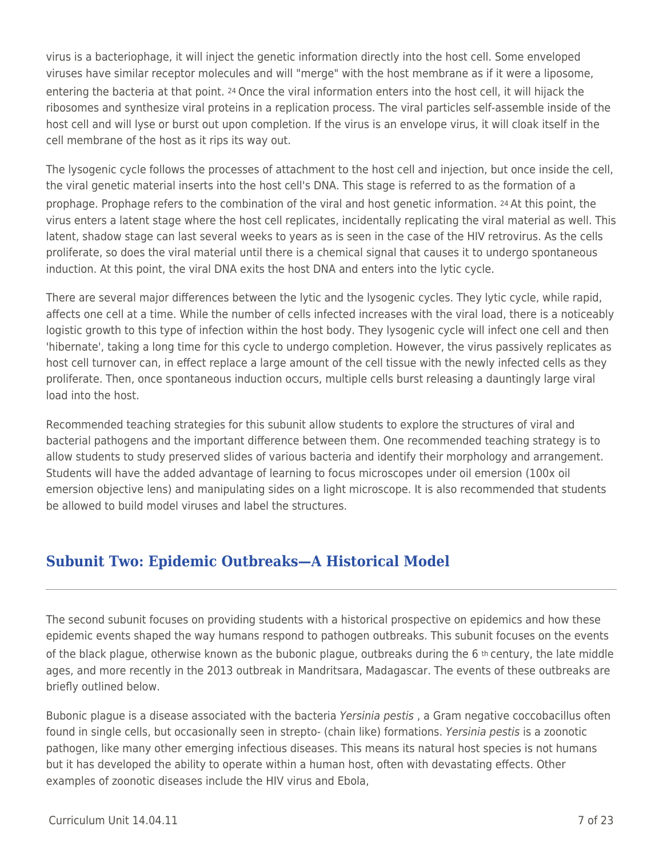virus is a bacteriophage, it will inject the genetic information directly into the host cell. Some enveloped viruses have similar receptor molecules and will "merge" with the host membrane as if it were a liposome, entering the bacteria at that point. 24 Once the viral information enters into the host cell, it will hijack the ribosomes and synthesize viral proteins in a replication process. The viral particles self-assemble inside of the host cell and will lyse or burst out upon completion. If the virus is an envelope virus, it will cloak itself in the cell membrane of the host as it rips its way out.

The lysogenic cycle follows the processes of attachment to the host cell and injection, but once inside the cell, the viral genetic material inserts into the host cell's DNA. This stage is referred to as the formation of a prophage. Prophage refers to the combination of the viral and host genetic information. 24 At this point, the virus enters a latent stage where the host cell replicates, incidentally replicating the viral material as well. This latent, shadow stage can last several weeks to years as is seen in the case of the HIV retrovirus. As the cells proliferate, so does the viral material until there is a chemical signal that causes it to undergo spontaneous induction. At this point, the viral DNA exits the host DNA and enters into the lytic cycle.

There are several major differences between the lytic and the lysogenic cycles. They lytic cycle, while rapid, affects one cell at a time. While the number of cells infected increases with the viral load, there is a noticeably logistic growth to this type of infection within the host body. They lysogenic cycle will infect one cell and then 'hibernate', taking a long time for this cycle to undergo completion. However, the virus passively replicates as host cell turnover can, in effect replace a large amount of the cell tissue with the newly infected cells as they proliferate. Then, once spontaneous induction occurs, multiple cells burst releasing a dauntingly large viral load into the host.

Recommended teaching strategies for this subunit allow students to explore the structures of viral and bacterial pathogens and the important difference between them. One recommended teaching strategy is to allow students to study preserved slides of various bacteria and identify their morphology and arrangement. Students will have the added advantage of learning to focus microscopes under oil emersion (100x oil emersion objective lens) and manipulating sides on a light microscope. It is also recommended that students be allowed to build model viruses and label the structures.

## **Subunit Two: Epidemic Outbreaks—A Historical Model**

The second subunit focuses on providing students with a historical prospective on epidemics and how these epidemic events shaped the way humans respond to pathogen outbreaks. This subunit focuses on the events of the black plague, otherwise known as the bubonic plague, outbreaks during the 6 th century, the late middle ages, and more recently in the 2013 outbreak in Mandritsara, Madagascar. The events of these outbreaks are briefly outlined below.

Bubonic plague is a disease associated with the bacteria Yersinia pestis, a Gram negative coccobacillus often found in single cells, but occasionally seen in strepto- (chain like) formations. Yersinia pestis is a zoonotic pathogen, like many other emerging infectious diseases. This means its natural host species is not humans but it has developed the ability to operate within a human host, often with devastating effects. Other examples of zoonotic diseases include the HIV virus and Ebola,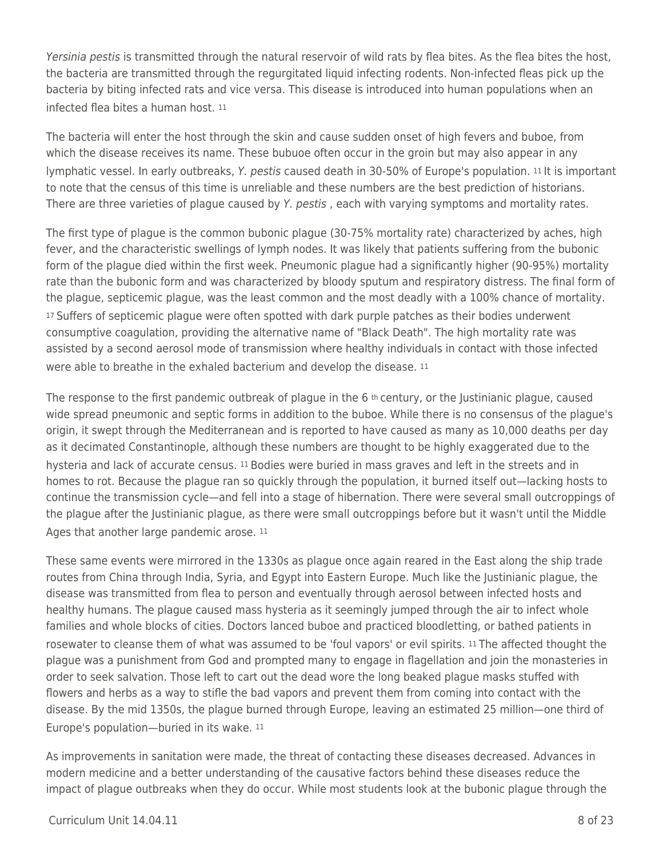Yersinia pestis is transmitted through the natural reservoir of wild rats by flea bites. As the flea bites the host, the bacteria are transmitted through the regurgitated liquid infecting rodents. Non-infected fleas pick up the bacteria by biting infected rats and vice versa. This disease is introduced into human populations when an infected flea bites a human host. <sup>11</sup>

The bacteria will enter the host through the skin and cause sudden onset of high fevers and buboe, from which the disease receives its name. These bubuoe often occur in the groin but may also appear in any lymphatic vessel. In early outbreaks, Y. pestis caused death in 30-50% of Europe's population. 11 It is important to note that the census of this time is unreliable and these numbers are the best prediction of historians. There are three varieties of plague caused by Y. pestis, each with varying symptoms and mortality rates.

The first type of plague is the common bubonic plague (30-75% mortality rate) characterized by aches, high fever, and the characteristic swellings of lymph nodes. It was likely that patients suffering from the bubonic form of the plague died within the first week. Pneumonic plague had a significantly higher (90-95%) mortality rate than the bubonic form and was characterized by bloody sputum and respiratory distress. The final form of the plague, septicemic plague, was the least common and the most deadly with a 100% chance of mortality. <sup>17</sup>Suffers of septicemic plague were often spotted with dark purple patches as their bodies underwent consumptive coagulation, providing the alternative name of "Black Death". The high mortality rate was assisted by a second aerosol mode of transmission where healthy individuals in contact with those infected were able to breathe in the exhaled bacterium and develop the disease. <sup>11</sup>

The response to the first pandemic outbreak of plague in the  $6$  th century, or the Justinianic plague, caused wide spread pneumonic and septic forms in addition to the buboe. While there is no consensus of the plague's origin, it swept through the Mediterranean and is reported to have caused as many as 10,000 deaths per day as it decimated Constantinople, although these numbers are thought to be highly exaggerated due to the hysteria and lack of accurate census. 11 Bodies were buried in mass graves and left in the streets and in homes to rot. Because the plague ran so quickly through the population, it burned itself out—lacking hosts to continue the transmission cycle—and fell into a stage of hibernation. There were several small outcroppings of the plague after the Justinianic plague, as there were small outcroppings before but it wasn't until the Middle Ages that another large pandemic arose. 11

These same events were mirrored in the 1330s as plague once again reared in the East along the ship trade routes from China through India, Syria, and Egypt into Eastern Europe. Much like the Justinianic plague, the disease was transmitted from flea to person and eventually through aerosol between infected hosts and healthy humans. The plague caused mass hysteria as it seemingly jumped through the air to infect whole families and whole blocks of cities. Doctors lanced buboe and practiced bloodletting, or bathed patients in rosewater to cleanse them of what was assumed to be 'foul vapors' or evil spirits. 11 The affected thought the plague was a punishment from God and prompted many to engage in flagellation and join the monasteries in order to seek salvation. Those left to cart out the dead wore the long beaked plague masks stuffed with flowers and herbs as a way to stifle the bad vapors and prevent them from coming into contact with the disease. By the mid 1350s, the plague burned through Europe, leaving an estimated 25 million—one third of Europe's population—buried in its wake. <sup>11</sup>

As improvements in sanitation were made, the threat of contacting these diseases decreased. Advances in modern medicine and a better understanding of the causative factors behind these diseases reduce the impact of plague outbreaks when they do occur. While most students look at the bubonic plague through the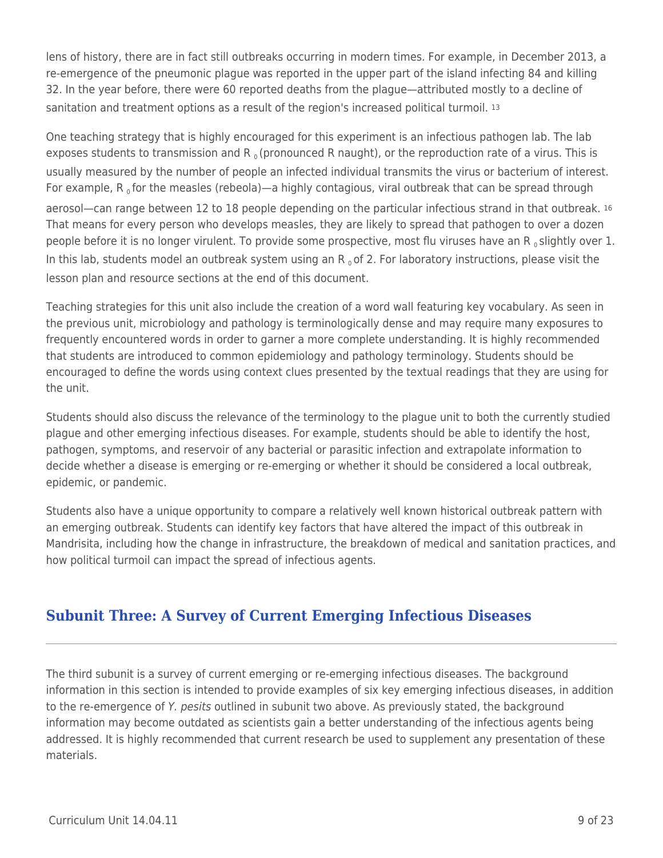lens of history, there are in fact still outbreaks occurring in modern times. For example, in December 2013, a re-emergence of the pneumonic plague was reported in the upper part of the island infecting 84 and killing 32. In the year before, there were 60 reported deaths from the plague—attributed mostly to a decline of sanitation and treatment options as a result of the region's increased political turmoil. 13

One teaching strategy that is highly encouraged for this experiment is an infectious pathogen lab. The lab exposes students to transmission and R<sub>o</sub> (pronounced R naught), or the reproduction rate of a virus. This is usually measured by the number of people an infected individual transmits the virus or bacterium of interest. For example,  $R_0$  for the measles (rebeola)—a highly contagious, viral outbreak that can be spread through aerosol—can range between 12 to 18 people depending on the particular infectious strand in that outbreak. <sup>16</sup> That means for every person who develops measles, they are likely to spread that pathogen to over a dozen people before it is no longer virulent. To provide some prospective, most flu viruses have an R<sub>0</sub> slightly over 1. In this lab, students model an outbreak system using an  $R_0$  of 2. For laboratory instructions, please visit the lesson plan and resource sections at the end of this document.

Teaching strategies for this unit also include the creation of a word wall featuring key vocabulary. As seen in the previous unit, microbiology and pathology is terminologically dense and may require many exposures to frequently encountered words in order to garner a more complete understanding. It is highly recommended that students are introduced to common epidemiology and pathology terminology. Students should be encouraged to define the words using context clues presented by the textual readings that they are using for the unit.

Students should also discuss the relevance of the terminology to the plague unit to both the currently studied plague and other emerging infectious diseases. For example, students should be able to identify the host, pathogen, symptoms, and reservoir of any bacterial or parasitic infection and extrapolate information to decide whether a disease is emerging or re-emerging or whether it should be considered a local outbreak, epidemic, or pandemic.

Students also have a unique opportunity to compare a relatively well known historical outbreak pattern with an emerging outbreak. Students can identify key factors that have altered the impact of this outbreak in Mandrisita, including how the change in infrastructure, the breakdown of medical and sanitation practices, and how political turmoil can impact the spread of infectious agents.

## **Subunit Three: A Survey of Current Emerging Infectious Diseases**

The third subunit is a survey of current emerging or re-emerging infectious diseases. The background information in this section is intended to provide examples of six key emerging infectious diseases, in addition to the re-emergence of Y. pesits outlined in subunit two above. As previously stated, the background information may become outdated as scientists gain a better understanding of the infectious agents being addressed. It is highly recommended that current research be used to supplement any presentation of these materials.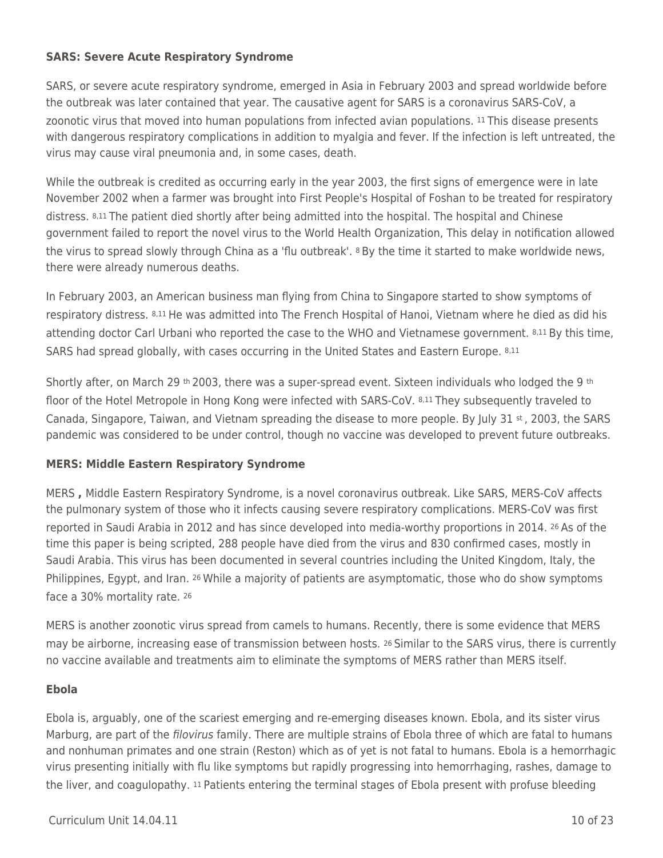### **SARS: Severe Acute Respiratory Syndrome**

SARS, or severe acute respiratory syndrome, emerged in Asia in February 2003 and spread worldwide before the outbreak was later contained that year. The causative agent for SARS is a coronavirus SARS-CoV, a zoonotic virus that moved into human populations from infected avian populations. 11 This disease presents with dangerous respiratory complications in addition to myalgia and fever. If the infection is left untreated, the virus may cause viral pneumonia and, in some cases, death.

While the outbreak is credited as occurring early in the year 2003, the first signs of emergence were in late November 2002 when a farmer was brought into First People's Hospital of Foshan to be treated for respiratory distress. 8,11 The patient died shortly after being admitted into the hospital. The hospital and Chinese government failed to report the novel virus to the World Health Organization, This delay in notification allowed the virus to spread slowly through China as a 'flu outbreak'. 8 By the time it started to make worldwide news, there were already numerous deaths.

In February 2003, an American business man flying from China to Singapore started to show symptoms of respiratory distress. 8,11 He was admitted into The French Hospital of Hanoi, Vietnam where he died as did his attending doctor Carl Urbani who reported the case to the WHO and Vietnamese government. 8,11 By this time, SARS had spread globally, with cases occurring in the United States and Eastern Europe. 8,11

Shortly after, on March 29 th 2003, there was a super-spread event. Sixteen individuals who lodged the 9 th floor of the Hotel Metropole in Hong Kong were infected with SARS-CoV. 8,11 They subsequently traveled to Canada, Singapore, Taiwan, and Vietnam spreading the disease to more people. By July 31 st, 2003, the SARS pandemic was considered to be under control, though no vaccine was developed to prevent future outbreaks.

### **MERS: Middle Eastern Respiratory Syndrome**

MERS **,** Middle Eastern Respiratory Syndrome, is a novel coronavirus outbreak. Like SARS, MERS-CoV affects the pulmonary system of those who it infects causing severe respiratory complications. MERS-CoV was first reported in Saudi Arabia in 2012 and has since developed into media-worthy proportions in 2014. 26 As of the time this paper is being scripted, 288 people have died from the virus and 830 confirmed cases, mostly in Saudi Arabia. This virus has been documented in several countries including the United Kingdom, Italy, the Philippines, Egypt, and Iran. 26 While a majority of patients are asymptomatic, those who do show symptoms face a 30% mortality rate. <sup>26</sup>

MERS is another zoonotic virus spread from camels to humans. Recently, there is some evidence that MERS may be airborne, increasing ease of transmission between hosts. 26 Similar to the SARS virus, there is currently no vaccine available and treatments aim to eliminate the symptoms of MERS rather than MERS itself.

### **Ebola**

Ebola is, arguably, one of the scariest emerging and re-emerging diseases known. Ebola, and its sister virus Marburg, are part of the *filovirus* family. There are multiple strains of Ebola three of which are fatal to humans and nonhuman primates and one strain (Reston) which as of yet is not fatal to humans. Ebola is a hemorrhagic virus presenting initially with flu like symptoms but rapidly progressing into hemorrhaging, rashes, damage to the liver, and coagulopathy. 11 Patients entering the terminal stages of Ebola present with profuse bleeding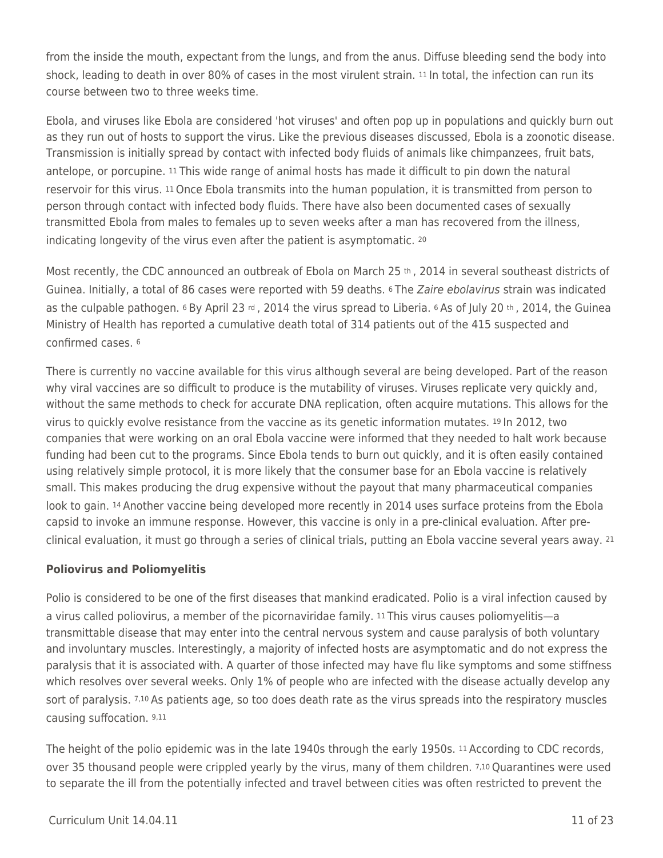from the inside the mouth, expectant from the lungs, and from the anus. Diffuse bleeding send the body into shock, leading to death in over 80% of cases in the most virulent strain. 11 In total, the infection can run its course between two to three weeks time.

Ebola, and viruses like Ebola are considered 'hot viruses' and often pop up in populations and quickly burn out as they run out of hosts to support the virus. Like the previous diseases discussed, Ebola is a zoonotic disease. Transmission is initially spread by contact with infected body fluids of animals like chimpanzees, fruit bats, antelope, or porcupine. 11 This wide range of animal hosts has made it difficult to pin down the natural reservoir for this virus. 11 Once Ebola transmits into the human population, it is transmitted from person to person through contact with infected body fluids. There have also been documented cases of sexually transmitted Ebola from males to females up to seven weeks after a man has recovered from the illness, indicating longevity of the virus even after the patient is asymptomatic. <sup>20</sup>

Most recently, the CDC announced an outbreak of Ebola on March 25 th, 2014 in several southeast districts of Guinea. Initially, a total of 86 cases were reported with 59 deaths. <sup>6</sup> The Zaire ebolavirus strain was indicated as the culpable pathogen. 6 By April 23 rd, 2014 the virus spread to Liberia. 6 As of July 20 th, 2014, the Guinea Ministry of Health has reported a cumulative death total of 314 patients out of the 415 suspected and confirmed cases. <sup>6</sup>

There is currently no vaccine available for this virus although several are being developed. Part of the reason why viral vaccines are so difficult to produce is the mutability of viruses. Viruses replicate very quickly and, without the same methods to check for accurate DNA replication, often acquire mutations. This allows for the virus to quickly evolve resistance from the vaccine as its genetic information mutates. 19 In 2012, two companies that were working on an oral Ebola vaccine were informed that they needed to halt work because funding had been cut to the programs. Since Ebola tends to burn out quickly, and it is often easily contained using relatively simple protocol, it is more likely that the consumer base for an Ebola vaccine is relatively small. This makes producing the drug expensive without the payout that many pharmaceutical companies look to gain. 14 Another vaccine being developed more recently in 2014 uses surface proteins from the Ebola capsid to invoke an immune response. However, this vaccine is only in a pre-clinical evaluation. After preclinical evaluation, it must go through a series of clinical trials, putting an Ebola vaccine several years away. <sup>21</sup>

### **Poliovirus and Poliomyelitis**

Polio is considered to be one of the first diseases that mankind eradicated. Polio is a viral infection caused by a virus called poliovirus, a member of the picornaviridae family. 11 This virus causes poliomyelitis—a transmittable disease that may enter into the central nervous system and cause paralysis of both voluntary and involuntary muscles. Interestingly, a majority of infected hosts are asymptomatic and do not express the paralysis that it is associated with. A quarter of those infected may have flu like symptoms and some stiffness which resolves over several weeks. Only 1% of people who are infected with the disease actually develop any sort of paralysis. 7,10 As patients age, so too does death rate as the virus spreads into the respiratory muscles causing suffocation. 9,11

The height of the polio epidemic was in the late 1940s through the early 1950s. 11 According to CDC records, over 35 thousand people were crippled yearly by the virus, many of them children. 7,10 Quarantines were used to separate the ill from the potentially infected and travel between cities was often restricted to prevent the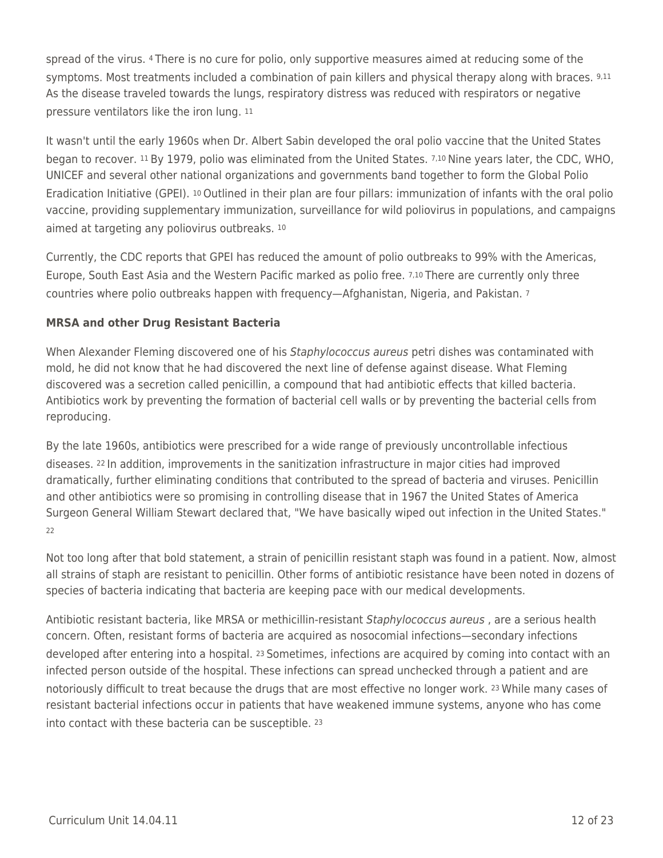spread of the virus. 4 There is no cure for polio, only supportive measures aimed at reducing some of the symptoms. Most treatments included a combination of pain killers and physical therapy along with braces. 9,11 As the disease traveled towards the lungs, respiratory distress was reduced with respirators or negative pressure ventilators like the iron lung. <sup>11</sup>

It wasn't until the early 1960s when Dr. Albert Sabin developed the oral polio vaccine that the United States began to recover. 11 By 1979, polio was eliminated from the United States. 7,10 Nine years later, the CDC, WHO, UNICEF and several other national organizations and governments band together to form the Global Polio Eradication Initiative (GPEI). 10 Outlined in their plan are four pillars: immunization of infants with the oral polio vaccine, providing supplementary immunization, surveillance for wild poliovirus in populations, and campaigns aimed at targeting any poliovirus outbreaks. <sup>10</sup>

Currently, the CDC reports that GPEI has reduced the amount of polio outbreaks to 99% with the Americas, Europe, South East Asia and the Western Pacific marked as polio free. 7,10 There are currently only three countries where polio outbreaks happen with frequency—Afghanistan, Nigeria, and Pakistan. <sup>7</sup>

### **MRSA and other Drug Resistant Bacteria**

When Alexander Fleming discovered one of his Staphylococcus aureus petri dishes was contaminated with mold, he did not know that he had discovered the next line of defense against disease. What Fleming discovered was a secretion called penicillin, a compound that had antibiotic effects that killed bacteria. Antibiotics work by preventing the formation of bacterial cell walls or by preventing the bacterial cells from reproducing.

By the late 1960s, antibiotics were prescribed for a wide range of previously uncontrollable infectious diseases. 22 In addition, improvements in the sanitization infrastructure in major cities had improved dramatically, further eliminating conditions that contributed to the spread of bacteria and viruses. Penicillin and other antibiotics were so promising in controlling disease that in 1967 the United States of America Surgeon General William Stewart declared that, "We have basically wiped out infection in the United States." 22

Not too long after that bold statement, a strain of penicillin resistant staph was found in a patient. Now, almost all strains of staph are resistant to penicillin. Other forms of antibiotic resistance have been noted in dozens of species of bacteria indicating that bacteria are keeping pace with our medical developments.

Antibiotic resistant bacteria, like MRSA or methicillin-resistant Staphylococcus aureus , are a serious health concern. Often, resistant forms of bacteria are acquired as nosocomial infections—secondary infections developed after entering into a hospital. 23 Sometimes, infections are acquired by coming into contact with an infected person outside of the hospital. These infections can spread unchecked through a patient and are notoriously difficult to treat because the drugs that are most effective no longer work. 23 While many cases of resistant bacterial infections occur in patients that have weakened immune systems, anyone who has come into contact with these bacteria can be susceptible. 23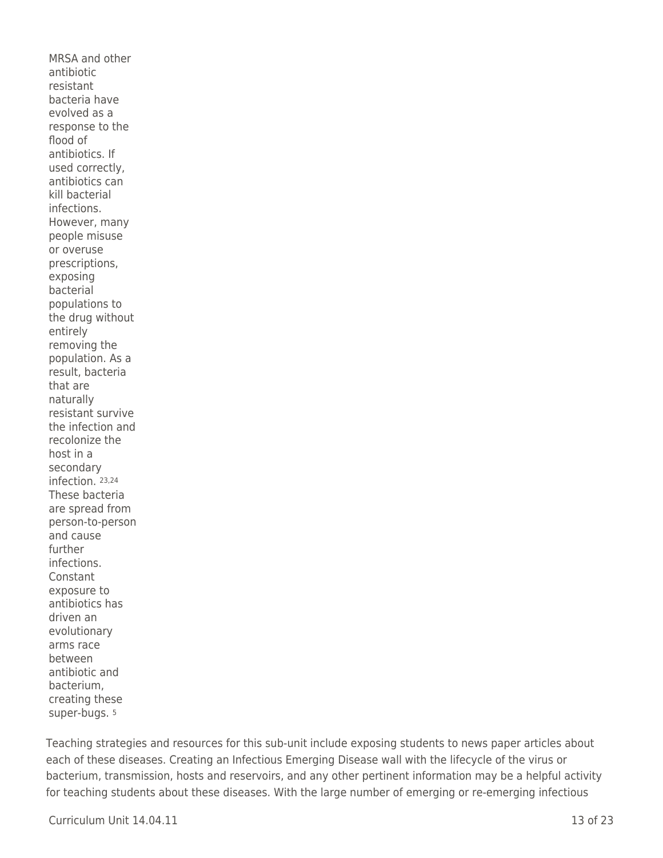MRSA and other antibiotic resistant bacteria have evolved as a response to the flood of antibiotics. If used correctly, antibiotics can kill bacterial infections. However, many people misuse or overuse prescriptions, exposing bacterial populations to the drug without entirely removing the population. As a result, bacteria that are naturally resistant survive the infection and recolonize the host in a secondary infection. 23,24 These bacteria are spread from person-to-person and cause further infections. Constant exposure to antibiotics has driven an evolutionary arms race between antibiotic and bacterium, creating these super-bugs. <sup>5</sup>

Teaching strategies and resources for this sub-unit include exposing students to news paper articles about each of these diseases. Creating an Infectious Emerging Disease wall with the lifecycle of the virus or bacterium, transmission, hosts and reservoirs, and any other pertinent information may be a helpful activity for teaching students about these diseases. With the large number of emerging or re-emerging infectious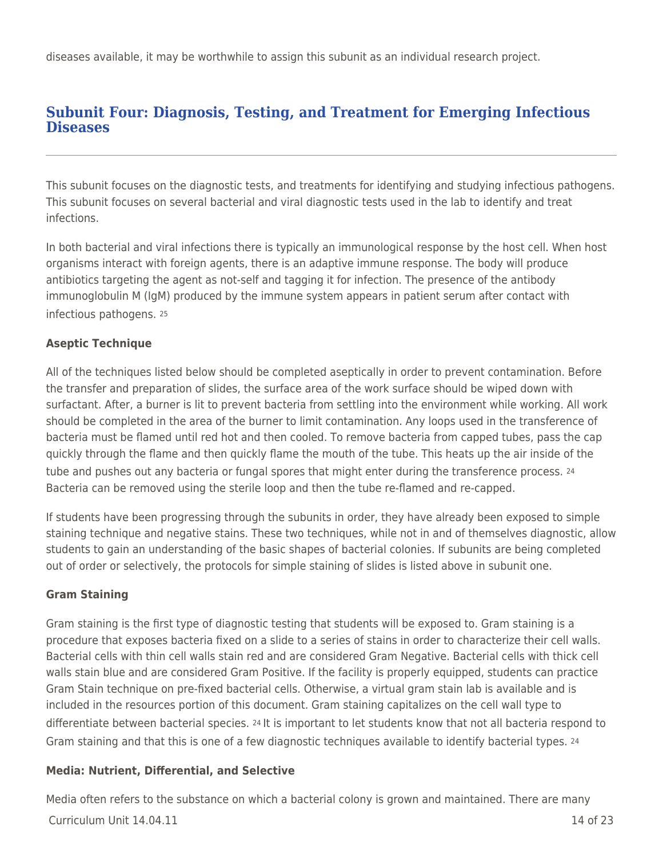diseases available, it may be worthwhile to assign this subunit as an individual research project.

### **Subunit Four: Diagnosis, Testing, and Treatment for Emerging Infectious Diseases**

This subunit focuses on the diagnostic tests, and treatments for identifying and studying infectious pathogens. This subunit focuses on several bacterial and viral diagnostic tests used in the lab to identify and treat infections.

In both bacterial and viral infections there is typically an immunological response by the host cell. When host organisms interact with foreign agents, there is an adaptive immune response. The body will produce antibiotics targeting the agent as not-self and tagging it for infection. The presence of the antibody immunoglobulin M (IgM) produced by the immune system appears in patient serum after contact with infectious pathogens. <sup>25</sup>

### **Aseptic Technique**

All of the techniques listed below should be completed aseptically in order to prevent contamination. Before the transfer and preparation of slides, the surface area of the work surface should be wiped down with surfactant. After, a burner is lit to prevent bacteria from settling into the environment while working. All work should be completed in the area of the burner to limit contamination. Any loops used in the transference of bacteria must be flamed until red hot and then cooled. To remove bacteria from capped tubes, pass the cap quickly through the flame and then quickly flame the mouth of the tube. This heats up the air inside of the tube and pushes out any bacteria or fungal spores that might enter during the transference process. 24 Bacteria can be removed using the sterile loop and then the tube re-flamed and re-capped.

If students have been progressing through the subunits in order, they have already been exposed to simple staining technique and negative stains. These two techniques, while not in and of themselves diagnostic, allow students to gain an understanding of the basic shapes of bacterial colonies. If subunits are being completed out of order or selectively, the protocols for simple staining of slides is listed above in subunit one.

### **Gram Staining**

Gram staining is the first type of diagnostic testing that students will be exposed to. Gram staining is a procedure that exposes bacteria fixed on a slide to a series of stains in order to characterize their cell walls. Bacterial cells with thin cell walls stain red and are considered Gram Negative. Bacterial cells with thick cell walls stain blue and are considered Gram Positive. If the facility is properly equipped, students can practice Gram Stain technique on pre-fixed bacterial cells. Otherwise, a virtual gram stain lab is available and is included in the resources portion of this document. Gram staining capitalizes on the cell wall type to differentiate between bacterial species. 24 It is important to let students know that not all bacteria respond to Gram staining and that this is one of a few diagnostic techniques available to identify bacterial types. 24

### **Media: Nutrient, Differential, and Selective**

 $C$ urriculum Unit  $14.04.11$ Media often refers to the substance on which a bacterial colony is grown and maintained. There are many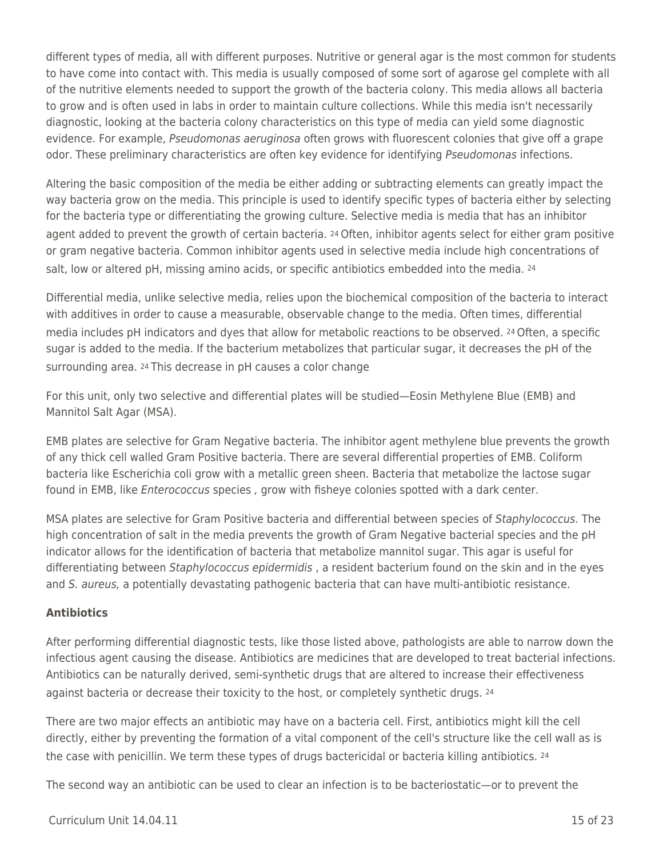different types of media, all with different purposes. Nutritive or general agar is the most common for students to have come into contact with. This media is usually composed of some sort of agarose gel complete with all of the nutritive elements needed to support the growth of the bacteria colony. This media allows all bacteria to grow and is often used in labs in order to maintain culture collections. While this media isn't necessarily diagnostic, looking at the bacteria colony characteristics on this type of media can yield some diagnostic evidence. For example, *Pseudomonas aeruginosa* often grows with fluorescent colonies that give off a grape odor. These preliminary characteristics are often key evidence for identifying Pseudomonas infections.

Altering the basic composition of the media be either adding or subtracting elements can greatly impact the way bacteria grow on the media. This principle is used to identify specific types of bacteria either by selecting for the bacteria type or differentiating the growing culture. Selective media is media that has an inhibitor agent added to prevent the growth of certain bacteria. 24 Often, inhibitor agents select for either gram positive or gram negative bacteria. Common inhibitor agents used in selective media include high concentrations of salt, low or altered pH, missing amino acids, or specific antibiotics embedded into the media. <sup>24</sup>

Differential media, unlike selective media, relies upon the biochemical composition of the bacteria to interact with additives in order to cause a measurable, observable change to the media. Often times, differential media includes pH indicators and dyes that allow for metabolic reactions to be observed. 24 Often, a specific sugar is added to the media. If the bacterium metabolizes that particular sugar, it decreases the pH of the surrounding area. 24 This decrease in pH causes a color change

For this unit, only two selective and differential plates will be studied—Eosin Methylene Blue (EMB) and Mannitol Salt Agar (MSA).

EMB plates are selective for Gram Negative bacteria. The inhibitor agent methylene blue prevents the growth of any thick cell walled Gram Positive bacteria. There are several differential properties of EMB. Coliform bacteria like Escherichia coli grow with a metallic green sheen. Bacteria that metabolize the lactose sugar found in EMB, like *Enterococcus* species, grow with fisheye colonies spotted with a dark center.

MSA plates are selective for Gram Positive bacteria and differential between species of Staphylococcus. The high concentration of salt in the media prevents the growth of Gram Negative bacterial species and the pH indicator allows for the identification of bacteria that metabolize mannitol sugar. This agar is useful for differentiating between Staphylococcus epidermidis, a resident bacterium found on the skin and in the eyes and S. aureus, a potentially devastating pathogenic bacteria that can have multi-antibiotic resistance.

### **Antibiotics**

After performing differential diagnostic tests, like those listed above, pathologists are able to narrow down the infectious agent causing the disease. Antibiotics are medicines that are developed to treat bacterial infections. Antibiotics can be naturally derived, semi-synthetic drugs that are altered to increase their effectiveness against bacteria or decrease their toxicity to the host, or completely synthetic drugs. 24

There are two major effects an antibiotic may have on a bacteria cell. First, antibiotics might kill the cell directly, either by preventing the formation of a vital component of the cell's structure like the cell wall as is the case with penicillin. We term these types of drugs bactericidal or bacteria killing antibiotics. <sup>24</sup>

The second way an antibiotic can be used to clear an infection is to be bacteriostatic—or to prevent the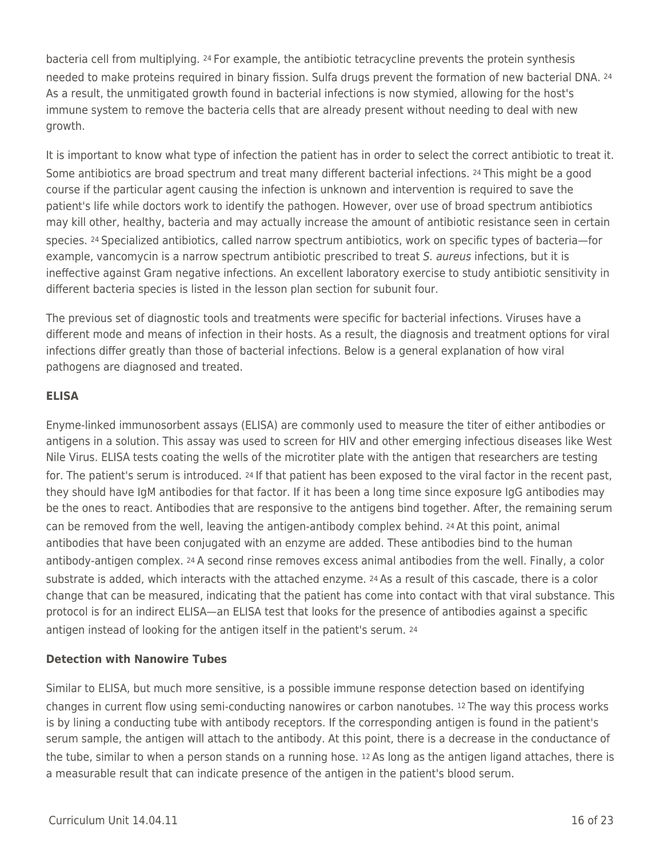bacteria cell from multiplying. 24 For example, the antibiotic tetracycline prevents the protein synthesis needed to make proteins required in binary fission. Sulfa drugs prevent the formation of new bacterial DNA. <sup>24</sup> As a result, the unmitigated growth found in bacterial infections is now stymied, allowing for the host's immune system to remove the bacteria cells that are already present without needing to deal with new growth.

It is important to know what type of infection the patient has in order to select the correct antibiotic to treat it. Some antibiotics are broad spectrum and treat many different bacterial infections. 24 This might be a good course if the particular agent causing the infection is unknown and intervention is required to save the patient's life while doctors work to identify the pathogen. However, over use of broad spectrum antibiotics may kill other, healthy, bacteria and may actually increase the amount of antibiotic resistance seen in certain species. 24 Specialized antibiotics, called narrow spectrum antibiotics, work on specific types of bacteria—for example, vancomycin is a narrow spectrum antibiotic prescribed to treat S. aureus infections, but it is ineffective against Gram negative infections. An excellent laboratory exercise to study antibiotic sensitivity in different bacteria species is listed in the lesson plan section for subunit four.

The previous set of diagnostic tools and treatments were specific for bacterial infections. Viruses have a different mode and means of infection in their hosts. As a result, the diagnosis and treatment options for viral infections differ greatly than those of bacterial infections. Below is a general explanation of how viral pathogens are diagnosed and treated.

### **ELISA**

Enyme-linked immunosorbent assays (ELISA) are commonly used to measure the titer of either antibodies or antigens in a solution. This assay was used to screen for HIV and other emerging infectious diseases like West Nile Virus. ELISA tests coating the wells of the microtiter plate with the antigen that researchers are testing for. The patient's serum is introduced. 24 If that patient has been exposed to the viral factor in the recent past, they should have IgM antibodies for that factor. If it has been a long time since exposure IgG antibodies may be the ones to react. Antibodies that are responsive to the antigens bind together. After, the remaining serum can be removed from the well, leaving the antigen-antibody complex behind. 24 At this point, animal antibodies that have been conjugated with an enzyme are added. These antibodies bind to the human antibody-antigen complex. 24 A second rinse removes excess animal antibodies from the well. Finally, a color substrate is added, which interacts with the attached enzyme. 24 As a result of this cascade, there is a color change that can be measured, indicating that the patient has come into contact with that viral substance. This protocol is for an indirect ELISA—an ELISA test that looks for the presence of antibodies against a specific antigen instead of looking for the antigen itself in the patient's serum. <sup>24</sup>

### **Detection with Nanowire Tubes**

Similar to ELISA, but much more sensitive, is a possible immune response detection based on identifying changes in current flow using semi-conducting nanowires or carbon nanotubes. 12 The way this process works is by lining a conducting tube with antibody receptors. If the corresponding antigen is found in the patient's serum sample, the antigen will attach to the antibody. At this point, there is a decrease in the conductance of the tube, similar to when a person stands on a running hose. 12 As long as the antigen ligand attaches, there is a measurable result that can indicate presence of the antigen in the patient's blood serum.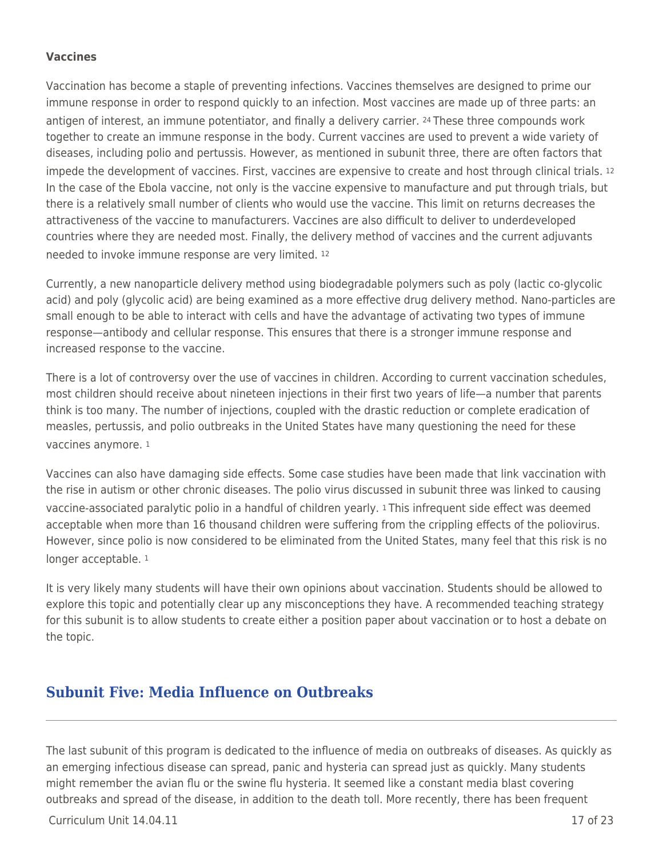#### **Vaccines**

Vaccination has become a staple of preventing infections. Vaccines themselves are designed to prime our immune response in order to respond quickly to an infection. Most vaccines are made up of three parts: an antigen of interest, an immune potentiator, and finally a delivery carrier. 24 These three compounds work together to create an immune response in the body. Current vaccines are used to prevent a wide variety of diseases, including polio and pertussis. However, as mentioned in subunit three, there are often factors that impede the development of vaccines. First, vaccines are expensive to create and host through clinical trials. <sup>12</sup> In the case of the Ebola vaccine, not only is the vaccine expensive to manufacture and put through trials, but there is a relatively small number of clients who would use the vaccine. This limit on returns decreases the attractiveness of the vaccine to manufacturers. Vaccines are also difficult to deliver to underdeveloped countries where they are needed most. Finally, the delivery method of vaccines and the current adjuvants needed to invoke immune response are very limited. <sup>12</sup>

Currently, a new nanoparticle delivery method using biodegradable polymers such as poly (lactic co-glycolic acid) and poly (glycolic acid) are being examined as a more effective drug delivery method. Nano-particles are small enough to be able to interact with cells and have the advantage of activating two types of immune response—antibody and cellular response. This ensures that there is a stronger immune response and increased response to the vaccine.

There is a lot of controversy over the use of vaccines in children. According to current vaccination schedules, most children should receive about nineteen injections in their first two years of life—a number that parents think is too many. The number of injections, coupled with the drastic reduction or complete eradication of measles, pertussis, and polio outbreaks in the United States have many questioning the need for these vaccines anymore. <sup>1</sup>

Vaccines can also have damaging side effects. Some case studies have been made that link vaccination with the rise in autism or other chronic diseases. The polio virus discussed in subunit three was linked to causing vaccine-associated paralytic polio in a handful of children yearly. 1 This infrequent side effect was deemed acceptable when more than 16 thousand children were suffering from the crippling effects of the poliovirus. However, since polio is now considered to be eliminated from the United States, many feel that this risk is no longer acceptable. <sup>1</sup>

It is very likely many students will have their own opinions about vaccination. Students should be allowed to explore this topic and potentially clear up any misconceptions they have. A recommended teaching strategy for this subunit is to allow students to create either a position paper about vaccination or to host a debate on the topic.

### **Subunit Five: Media Influence on Outbreaks**

The last subunit of this program is dedicated to the influence of media on outbreaks of diseases. As quickly as an emerging infectious disease can spread, panic and hysteria can spread just as quickly. Many students might remember the avian flu or the swine flu hysteria. It seemed like a constant media blast covering outbreaks and spread of the disease, in addition to the death toll. More recently, there has been frequent

 $Curriculum Unit 14.04.11$   $17.0f 23$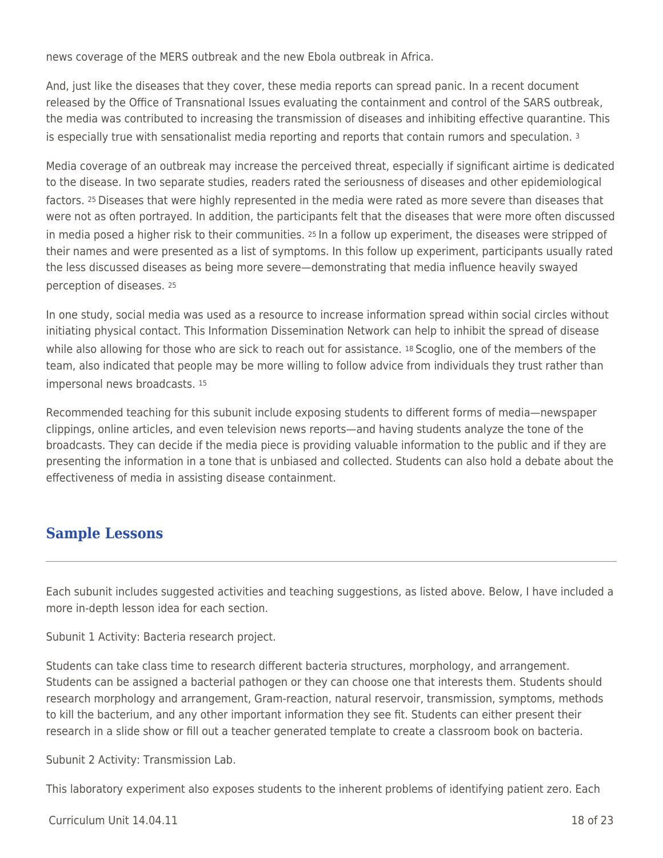news coverage of the MERS outbreak and the new Ebola outbreak in Africa.

And, just like the diseases that they cover, these media reports can spread panic. In a recent document released by the Office of Transnational Issues evaluating the containment and control of the SARS outbreak, the media was contributed to increasing the transmission of diseases and inhibiting effective quarantine. This is especially true with sensationalist media reporting and reports that contain rumors and speculation. 3

Media coverage of an outbreak may increase the perceived threat, especially if significant airtime is dedicated to the disease. In two separate studies, readers rated the seriousness of diseases and other epidemiological factors. 25 Diseases that were highly represented in the media were rated as more severe than diseases that were not as often portrayed. In addition, the participants felt that the diseases that were more often discussed in media posed a higher risk to their communities. 25 In a follow up experiment, the diseases were stripped of their names and were presented as a list of symptoms. In this follow up experiment, participants usually rated the less discussed diseases as being more severe—demonstrating that media influence heavily swayed perception of diseases. <sup>25</sup>

In one study, social media was used as a resource to increase information spread within social circles without initiating physical contact. This Information Dissemination Network can help to inhibit the spread of disease while also allowing for those who are sick to reach out for assistance. 18 Scoglio, one of the members of the team, also indicated that people may be more willing to follow advice from individuals they trust rather than impersonal news broadcasts. <sup>15</sup>

Recommended teaching for this subunit include exposing students to different forms of media—newspaper clippings, online articles, and even television news reports—and having students analyze the tone of the broadcasts. They can decide if the media piece is providing valuable information to the public and if they are presenting the information in a tone that is unbiased and collected. Students can also hold a debate about the effectiveness of media in assisting disease containment.

### **Sample Lessons**

Each subunit includes suggested activities and teaching suggestions, as listed above. Below, I have included a more in-depth lesson idea for each section.

Subunit 1 Activity: Bacteria research project.

Students can take class time to research different bacteria structures, morphology, and arrangement. Students can be assigned a bacterial pathogen or they can choose one that interests them. Students should research morphology and arrangement, Gram-reaction, natural reservoir, transmission, symptoms, methods to kill the bacterium, and any other important information they see fit. Students can either present their research in a slide show or fill out a teacher generated template to create a classroom book on bacteria.

Subunit 2 Activity: Transmission Lab.

This laboratory experiment also exposes students to the inherent problems of identifying patient zero. Each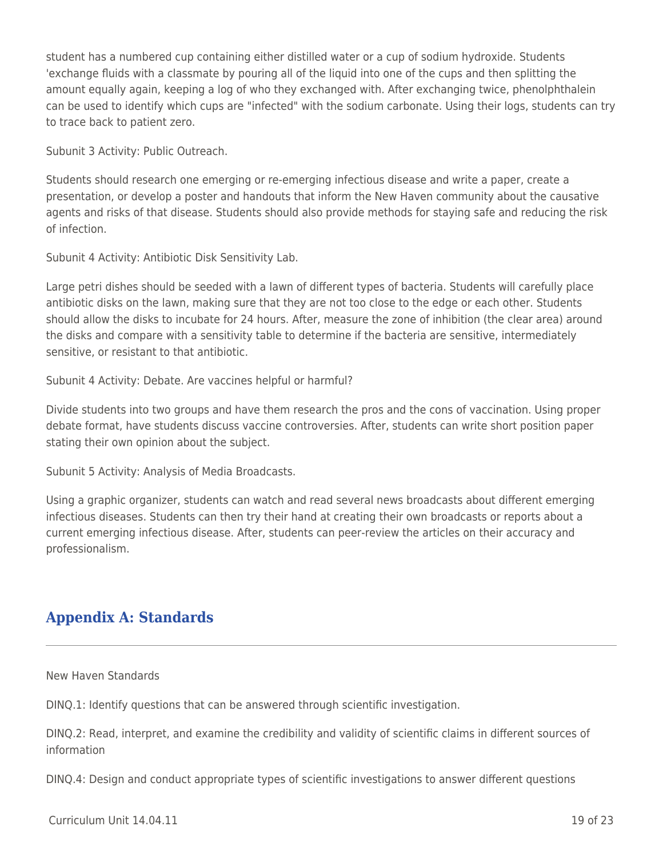student has a numbered cup containing either distilled water or a cup of sodium hydroxide. Students 'exchange fluids with a classmate by pouring all of the liquid into one of the cups and then splitting the amount equally again, keeping a log of who they exchanged with. After exchanging twice, phenolphthalein can be used to identify which cups are "infected" with the sodium carbonate. Using their logs, students can try to trace back to patient zero.

Subunit 3 Activity: Public Outreach.

Students should research one emerging or re-emerging infectious disease and write a paper, create a presentation, or develop a poster and handouts that inform the New Haven community about the causative agents and risks of that disease. Students should also provide methods for staying safe and reducing the risk of infection.

Subunit 4 Activity: Antibiotic Disk Sensitivity Lab.

Large petri dishes should be seeded with a lawn of different types of bacteria. Students will carefully place antibiotic disks on the lawn, making sure that they are not too close to the edge or each other. Students should allow the disks to incubate for 24 hours. After, measure the zone of inhibition (the clear area) around the disks and compare with a sensitivity table to determine if the bacteria are sensitive, intermediately sensitive, or resistant to that antibiotic.

Subunit 4 Activity: Debate. Are vaccines helpful or harmful?

Divide students into two groups and have them research the pros and the cons of vaccination. Using proper debate format, have students discuss vaccine controversies. After, students can write short position paper stating their own opinion about the subject.

Subunit 5 Activity: Analysis of Media Broadcasts.

Using a graphic organizer, students can watch and read several news broadcasts about different emerging infectious diseases. Students can then try their hand at creating their own broadcasts or reports about a current emerging infectious disease. After, students can peer-review the articles on their accuracy and professionalism.

## **Appendix A: Standards**

New Haven Standards

DINQ.1: Identify questions that can be answered through scientific investigation.

DINQ.2: Read, interpret, and examine the credibility and validity of scientific claims in different sources of information

DINQ.4: Design and conduct appropriate types of scientific investigations to answer different questions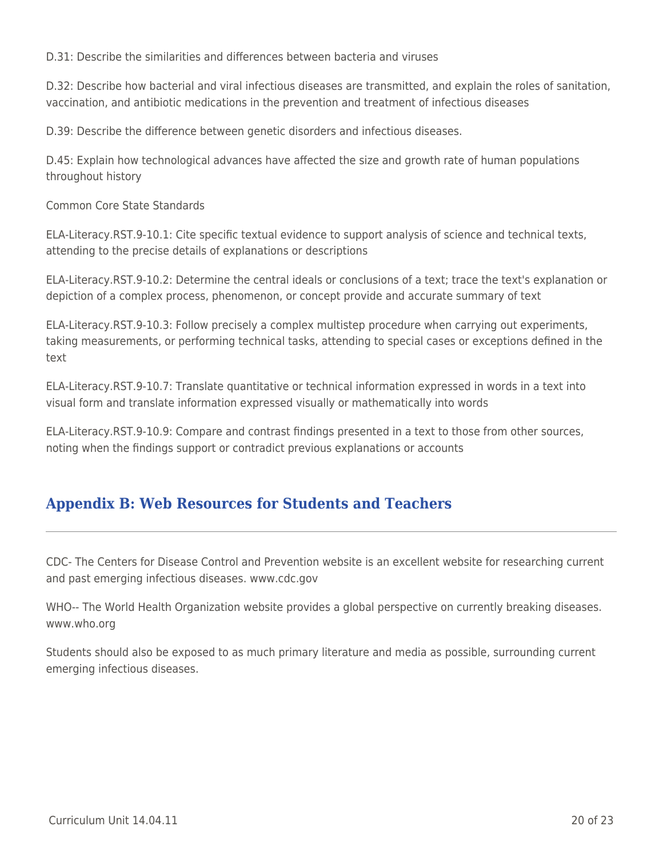D.31: Describe the similarities and differences between bacteria and viruses

D.32: Describe how bacterial and viral infectious diseases are transmitted, and explain the roles of sanitation, vaccination, and antibiotic medications in the prevention and treatment of infectious diseases

D.39: Describe the difference between genetic disorders and infectious diseases.

D.45: Explain how technological advances have affected the size and growth rate of human populations throughout history

Common Core State Standards

ELA-Literacy.RST.9-10.1: Cite specific textual evidence to support analysis of science and technical texts, attending to the precise details of explanations or descriptions

ELA-Literacy.RST.9-10.2: Determine the central ideals or conclusions of a text; trace the text's explanation or depiction of a complex process, phenomenon, or concept provide and accurate summary of text

ELA-Literacy.RST.9-10.3: Follow precisely a complex multistep procedure when carrying out experiments, taking measurements, or performing technical tasks, attending to special cases or exceptions defined in the text

ELA-Literacy.RST.9-10.7: Translate quantitative or technical information expressed in words in a text into visual form and translate information expressed visually or mathematically into words

ELA-Literacy.RST.9-10.9: Compare and contrast findings presented in a text to those from other sources, noting when the findings support or contradict previous explanations or accounts

## **Appendix B: Web Resources for Students and Teachers**

CDC- The Centers for Disease Control and Prevention website is an excellent website for researching current and past emerging infectious diseases. www.cdc.gov

WHO-- The World Health Organization website provides a global perspective on currently breaking diseases. www.who.org

Students should also be exposed to as much primary literature and media as possible, surrounding current emerging infectious diseases.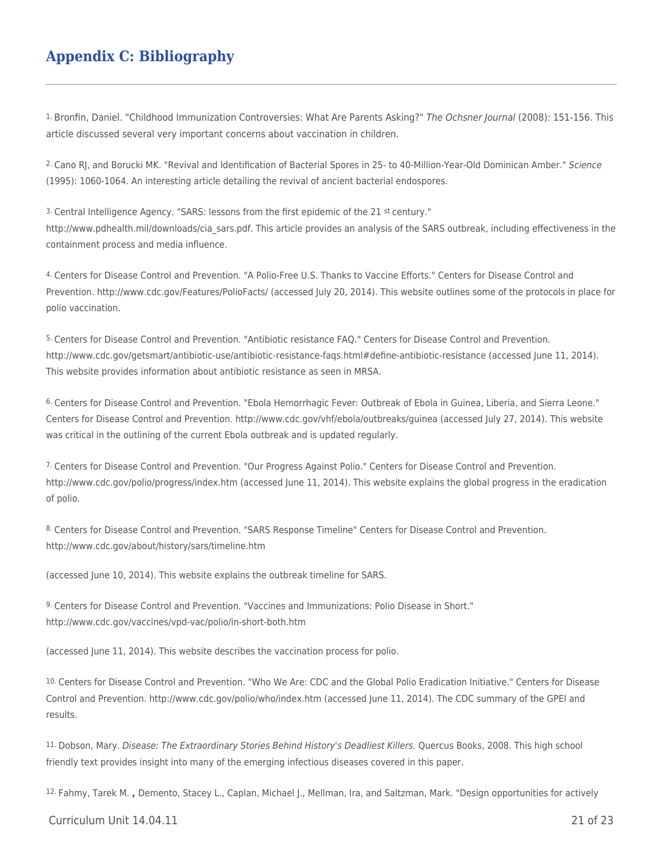## **Appendix C: Bibliography**

1. Bronfin, Daniel. "Childhood Immunization Controversies: What Are Parents Asking?" The Ochsner Journal (2008): 151-156. This article discussed several very important concerns about vaccination in children.

2. Cano RJ, and Borucki MK. "Revival and Identification of Bacterial Spores in 25- to 40-Million-Year-Old Dominican Amber." Science (1995): 1060-1064. An interesting article detailing the revival of ancient bacterial endospores.

3. Central Intelligence Agency. "SARS: lessons from the first epidemic of the 21 st century." http://www.pdhealth.mil/downloads/cia\_sars.pdf. This article provides an analysis of the SARS outbreak, including effectiveness in the containment process and media influence.

4. Centers for Disease Control and Prevention. "A Polio-Free U.S. Thanks to Vaccine Efforts." Centers for Disease Control and Prevention. http://www.cdc.gov/Features/PolioFacts/ (accessed July 20, 2014). This website outlines some of the protocols in place for polio vaccination.

5. Centers for Disease Control and Prevention. "Antibiotic resistance FAQ." Centers for Disease Control and Prevention. http://www.cdc.gov/getsmart/antibiotic-use/antibiotic-resistance-faqs.html#define-antibiotic-resistance (accessed June 11, 2014). This website provides information about antibiotic resistance as seen in MRSA.

6. Centers for Disease Control and Prevention. "Ebola Hemorrhagic Fever: Outbreak of Ebola in Guinea, Liberia, and Sierra Leone." Centers for Disease Control and Prevention. http://www.cdc.gov/vhf/ebola/outbreaks/guinea (accessed July 27, 2014). This website was critical in the outlining of the current Ebola outbreak and is updated regularly.

7. Centers for Disease Control and Prevention. "Our Progress Against Polio." Centers for Disease Control and Prevention. http://www.cdc.gov/polio/progress/index.htm (accessed June 11, 2014). This website explains the global progress in the eradication of polio.

8. Centers for Disease Control and Prevention. "SARS Response Timeline" Centers for Disease Control and Prevention. http://www.cdc.gov/about/history/sars/timeline.htm

(accessed June 10, 2014). This website explains the outbreak timeline for SARS.

9. Centers for Disease Control and Prevention. "Vaccines and Immunizations: Polio Disease in Short." http://www.cdc.gov/vaccines/vpd-vac/polio/in-short-both.htm

(accessed June 11, 2014). This website describes the vaccination process for polio.

10. Centers for Disease Control and Prevention. "Who We Are: CDC and the Global Polio Eradication Initiative." Centers for Disease Control and Prevention. http://www.cdc.gov/polio/who/index.htm (accessed June 11, 2014). The CDC summary of the GPEI and results.

11. Dobson, Mary. Disease: The Extraordinary Stories Behind History's Deadliest Killers. Quercus Books, 2008. This high school friendly text provides insight into many of the emerging infectious diseases covered in this paper.

12. Fahmy, Tarek M. **,** Demento, Stacey L., Caplan, Michael J., Mellman, Ira, and Saltzman, Mark. "Design opportunities for actively

Curriculum Unit 14.04.11 21 of 23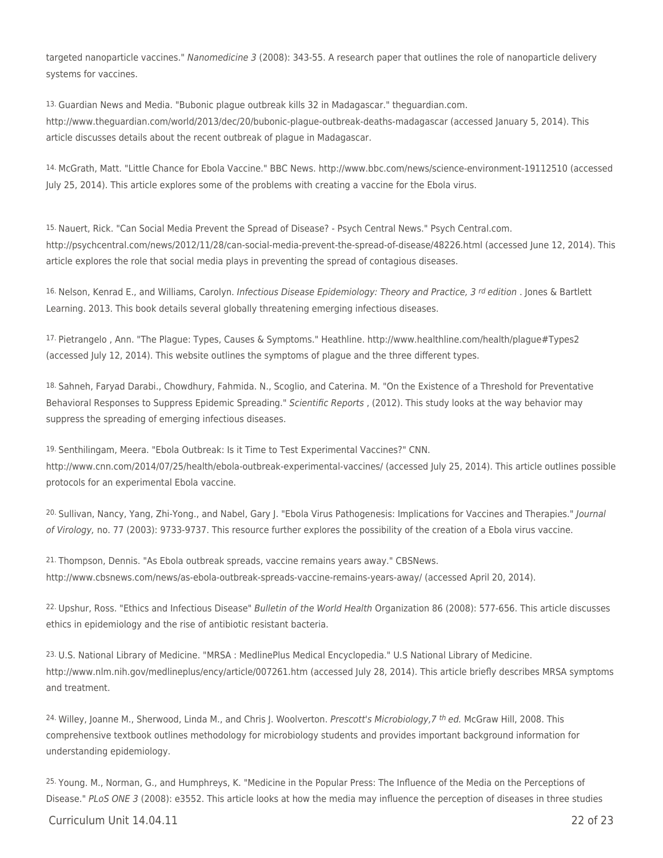targeted nanoparticle vaccines." Nanomedicine 3 (2008): 343-55. A research paper that outlines the role of nanoparticle delivery systems for vaccines.

13. Guardian News and Media. "Bubonic plague outbreak kills 32 in Madagascar." theguardian.com. http://www.theguardian.com/world/2013/dec/20/bubonic-plague-outbreak-deaths-madagascar (accessed January 5, 2014). This article discusses details about the recent outbreak of plague in Madagascar.

14. McGrath, Matt. "Little Chance for Ebola Vaccine." BBC News. http://www.bbc.com/news/science-environment-19112510 (accessed July 25, 2014). This article explores some of the problems with creating a vaccine for the Ebola virus.

15. Nauert, Rick. "Can Social Media Prevent the Spread of Disease? - Psych Central News." Psych Central.com. http://psychcentral.com/news/2012/11/28/can-social-media-prevent-the-spread-of-disease/48226.html (accessed June 12, 2014). This article explores the role that social media plays in preventing the spread of contagious diseases.

16. Nelson, Kenrad E., and Williams, Carolyn. Infectious Disease Epidemiology: Theory and Practice, 3<sup>rd</sup> edition. Jones & Bartlett Learning. 2013. This book details several globally threatening emerging infectious diseases.

17. Pietrangelo , Ann. "The Plague: Types, Causes & Symptoms." Heathline. http://www.healthline.com/health/plague#Types2 (accessed July 12, 2014). This website outlines the symptoms of plague and the three different types.

18. Sahneh, Faryad Darabi., Chowdhury, Fahmida. N., Scoglio, and Caterina. M. "On the Existence of a Threshold for Preventative Behavioral Responses to Suppress Epidemic Spreading." Scientific Reports, (2012). This study looks at the way behavior may suppress the spreading of emerging infectious diseases.

19. Senthilingam, Meera. "Ebola Outbreak: Is it Time to Test Experimental Vaccines?" CNN. http://www.cnn.com/2014/07/25/health/ebola-outbreak-experimental-vaccines/ (accessed July 25, 2014). This article outlines possible protocols for an experimental Ebola vaccine.

20. Sullivan, Nancy, Yang, Zhi-Yong., and Nabel, Gary J. "Ebola Virus Pathogenesis: Implications for Vaccines and Therapies." Journal of Virology, no. 77 (2003): 9733-9737. This resource further explores the possibility of the creation of a Ebola virus vaccine.

21. Thompson, Dennis. "As Ebola outbreak spreads, vaccine remains years away." CBSNews. http://www.cbsnews.com/news/as-ebola-outbreak-spreads-vaccine-remains-years-away/ (accessed April 20, 2014).

22. Upshur, Ross. "Ethics and Infectious Disease" Bulletin of the World Health Organization 86 (2008): 577-656. This article discusses ethics in epidemiology and the rise of antibiotic resistant bacteria.

23. U.S. National Library of Medicine. "MRSA : MedlinePlus Medical Encyclopedia." U.S National Library of Medicine. http://www.nlm.nih.gov/medlineplus/ency/article/007261.htm (accessed July 28, 2014). This article briefly describes MRSA symptoms and treatment.

24. Willey, Joanne M., Sherwood, Linda M., and Chris J. Woolverton. Prescott's Microbiology, 7 th ed. McGraw Hill, 2008. This comprehensive textbook outlines methodology for microbiology students and provides important background information for understanding epidemiology.

25. Young. M., Norman, G., and Humphreys, K. "Medicine in the Popular Press: The Influence of the Media on the Perceptions of Disease." PLoS ONE 3 (2008): e3552. This article looks at how the media may influence the perception of diseases in three studies

Curriculum Unit 14.04.11 22 of 23